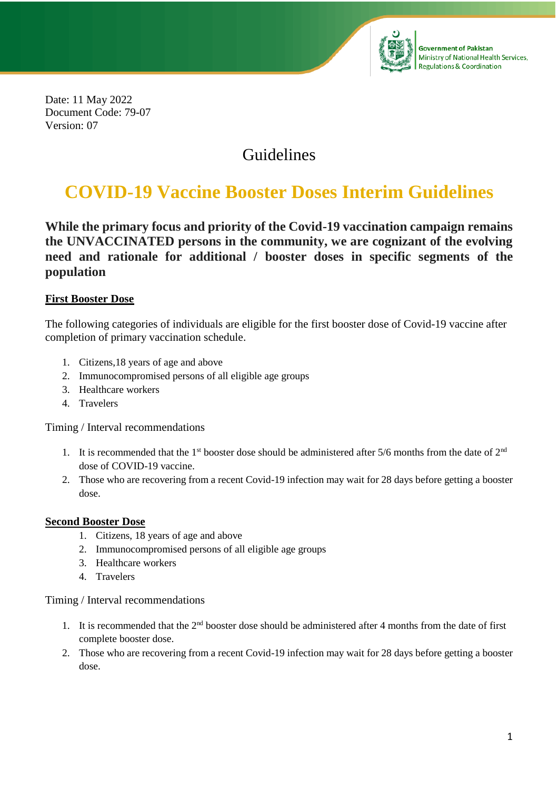

**Government of Pakistan** Ministry of National Health Services, **Regulations & Coordination** 

Date: 11 May 2022 Document Code: 79-07 Version: 07

## Guidelines

# **COVID-19 Vaccine Booster Doses Interim Guidelines**

**While the primary focus and priority of the Covid-19 vaccination campaign remains the UNVACCINATED persons in the community, we are cognizant of the evolving need and rationale for additional / booster doses in specific segments of the population**

#### **First Booster Dose**

The following categories of individuals are eligible for the first booster dose of Covid-19 vaccine after completion of primary vaccination schedule.

- 1. Citizens,18 years of age and above
- 2. Immunocompromised persons of all eligible age groups
- 3. Healthcare workers
- 4. Travelers

Timing / Interval recommendations

- 1. It is recommended that the 1<sup>st</sup> booster dose should be administered after 5/6 months from the date of  $2<sup>nd</sup>$ dose of COVID-19 vaccine.
- 2. Those who are recovering from a recent Covid-19 infection may wait for 28 days before getting a booster dose.

#### **Second Booster Dose**

- 1. Citizens, 18 years of age and above
- 2. Immunocompromised persons of all eligible age groups
- 3. Healthcare workers
- 4. Travelers

Timing / Interval recommendations

- 1. It is recommended that the  $2<sup>nd</sup>$  booster dose should be administered after 4 months from the date of first complete booster dose.
- 2. Those who are recovering from a recent Covid-19 infection may wait for 28 days before getting a booster dose.